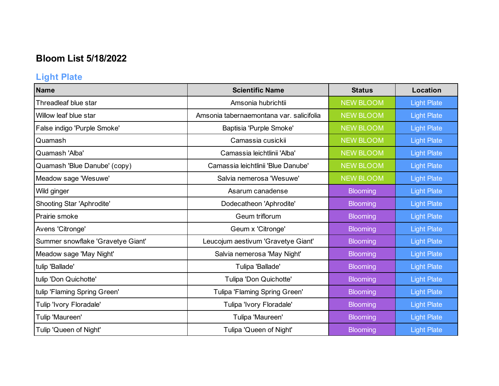## **Bloom List 5/18/2022**

# **Light Plate**

| <b>Name</b>                       | <b>Scientific Name</b>                   | <b>Status</b>    | Location           |
|-----------------------------------|------------------------------------------|------------------|--------------------|
| Threadleaf blue star              | Amsonia hubrichtii                       | <b>NEW BLOOM</b> | <b>Light Plate</b> |
| Willow leaf blue star             | Amsonia tabernaemontana var. salicifolia | <b>NEW BLOOM</b> | <b>Light Plate</b> |
| False indigo 'Purple Smoke'       | Baptisia 'Purple Smoke'                  | <b>NEW BLOOM</b> | <b>Light Plate</b> |
| Quamash                           | Camassia cusickii                        | <b>NEW BLOOM</b> | <b>Light Plate</b> |
| Quamash 'Alba'                    | Camassia leichtlinii 'Alba'              | <b>NEW BLOOM</b> | <b>Light Plate</b> |
| Quamash 'Blue Danube' (copy)      | Camassia leichtlinii 'Blue Danube'       | <b>NEW BLOOM</b> | <b>Light Plate</b> |
| Meadow sage 'Wesuwe'              | Salvia nemerosa 'Wesuwe'                 | <b>NEW BLOOM</b> | <b>Light Plate</b> |
| Wild ginger                       | Asarum canadense                         | <b>Blooming</b>  | <b>Light Plate</b> |
| Shooting Star 'Aphrodite'         | Dodecatheon 'Aphrodite'                  | <b>Blooming</b>  | <b>Light Plate</b> |
| Prairie smoke                     | Geum triflorum                           | <b>Blooming</b>  | <b>Light Plate</b> |
| Avens 'Citronge'                  | Geum x 'Citronge'                        | <b>Blooming</b>  | <b>Light Plate</b> |
| Summer snowflake 'Gravetye Giant' | Leucojum aestivum 'Gravetye Giant'       | <b>Blooming</b>  | <b>Light Plate</b> |
| Meadow sage 'May Night'           | Salvia nemerosa 'May Night'              | <b>Blooming</b>  | <b>Light Plate</b> |
| tulip 'Ballade'                   | Tulipa 'Ballade'                         | <b>Blooming</b>  | <b>Light Plate</b> |
| tulip 'Don Quichotte'             | Tulipa 'Don Quichotte'                   | <b>Blooming</b>  | <b>Light Plate</b> |
| tulip 'Flaming Spring Green'      | Tulipa 'Flaming Spring Green'            | <b>Blooming</b>  | <b>Light Plate</b> |
| Tulip 'Ivory Floradale'           | Tulipa 'Ivory Floradale'                 | <b>Blooming</b>  | <b>Light Plate</b> |
| Tulip 'Maureen'                   | Tulipa 'Maureen'                         | <b>Blooming</b>  | <b>Light Plate</b> |
| Tulip 'Queen of Night'            | Tulipa 'Queen of Night'                  | <b>Blooming</b>  | <b>Light Plate</b> |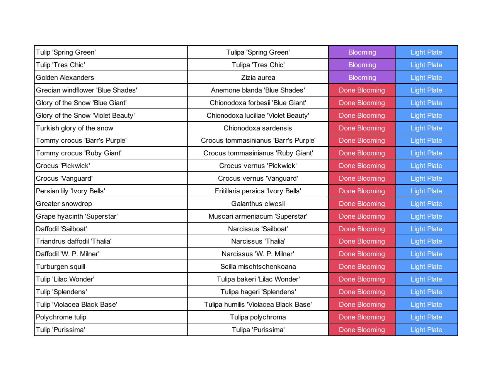| Tulip 'Spring Green'              | Tulipa 'Spring Green'                | <b>Blooming</b>      | <b>Light Plate</b> |
|-----------------------------------|--------------------------------------|----------------------|--------------------|
| Tulip 'Tres Chic'                 | Tulipa 'Tres Chic'                   | <b>Blooming</b>      | <b>Light Plate</b> |
| <b>Golden Alexanders</b>          | Zizia aurea                          | <b>Blooming</b>      | <b>Light Plate</b> |
| Grecian windflower 'Blue Shades'  | Anemone blanda 'Blue Shades'         | Done Blooming        | <b>Light Plate</b> |
| Glory of the Snow 'Blue Giant'    | Chionodoxa forbesii 'Blue Giant'     | Done Blooming        | <b>Light Plate</b> |
| Glory of the Snow 'Violet Beauty' | Chionodoxa luciliae 'Violet Beauty'  | Done Blooming        | <b>Light Plate</b> |
| Turkish glory of the snow         | Chionodoxa sardensis                 | Done Blooming        | <b>Light Plate</b> |
| Tommy crocus 'Barr's Purple'      | Crocus tommasinianus 'Barr's Purple' | Done Blooming        | <b>Light Plate</b> |
| Tommy crocus 'Ruby Giant'         | Crocus tommasinianus 'Ruby Giant'    | Done Blooming        | <b>Light Plate</b> |
| Crocus 'Pickwick'                 | Crocus vernus 'Pickwick'             | Done Blooming        | <b>Light Plate</b> |
| Crocus 'Vanguard'                 | Crocus vernus 'Vanguard'             | Done Blooming        | <b>Light Plate</b> |
| Persian lily 'Ivory Bells'        | Fritillaria persica 'Ivory Bells'    | Done Blooming        | <b>Light Plate</b> |
| Greater snowdrop                  | Galanthus elwesii                    | Done Blooming        | <b>Light Plate</b> |
| Grape hyacinth 'Superstar'        | Muscari armeniacum 'Superstar'       | <b>Done Blooming</b> | <b>Light Plate</b> |
| Daffodil 'Sailboat'               | Narcissus 'Sailboat'                 | Done Blooming        | <b>Light Plate</b> |
| Triandrus daffodil 'Thalia'       | Narcissus 'Thalia'                   | Done Blooming        | <b>Light Plate</b> |
| Daffodil 'W. P. Milner'           | Narcissus 'W. P. Milner'             | Done Blooming        | <b>Light Plate</b> |
| Turburgen squill                  | Scilla mischtschenkoana              | Done Blooming        | <b>Light Plate</b> |
| Tulip 'Lilac Wonder'              | Tulipa bakeri 'Lilac Wonder'         | Done Blooming        | <b>Light Plate</b> |
| Tulip 'Splendens'                 | Tulipa hageri 'Splendens'            | <b>Done Blooming</b> | <b>Light Plate</b> |
| Tulip 'Violacea Black Base'       | Tulipa humilis 'Violacea Black Base' | Done Blooming        | <b>Light Plate</b> |
| Polychrome tulip                  | Tulipa polychroma                    | Done Blooming        | <b>Light Plate</b> |
| Tulip 'Purissima'                 | Tulipa 'Purissima'                   | <b>Done Blooming</b> | <b>Light Plate</b> |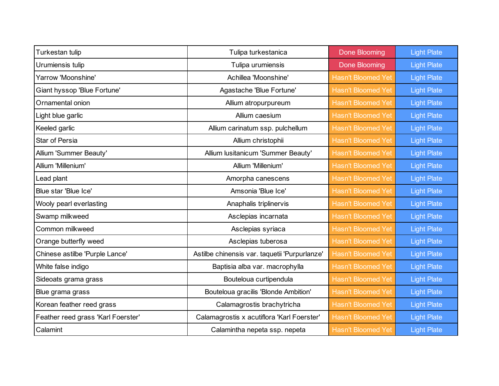| Turkestan tulip                    | Tulipa turkestanica                           | <b>Done Blooming</b>      | <b>Light Plate</b> |
|------------------------------------|-----------------------------------------------|---------------------------|--------------------|
| Urumiensis tulip                   | Tulipa urumiensis                             | Done Blooming             | <b>Light Plate</b> |
| Yarrow 'Moonshine'                 | Achillea 'Moonshine'                          | <b>Hasn't Bloomed Yet</b> | <b>Light Plate</b> |
| Giant hyssop 'Blue Fortune'        | Agastache 'Blue Fortune'                      | <b>Hasn't Bloomed Yet</b> | <b>Light Plate</b> |
| Ornamental onion                   | Allium atropurpureum                          | <b>Hasn't Bloomed Yet</b> | <b>Light Plate</b> |
| Light blue garlic                  | Allium caesium                                | <b>Hasn't Bloomed Yet</b> | <b>Light Plate</b> |
| Keeled garlic                      | Allium carinatum ssp. pulchellum              | <b>Hasn't Bloomed Yet</b> | <b>Light Plate</b> |
| Star of Persia                     | Allium christophii                            | <b>Hasn't Bloomed Yet</b> | <b>Light Plate</b> |
| Allium 'Summer Beauty'             | Allium lusitanicum 'Summer Beauty'            | <b>Hasn't Bloomed Yet</b> | <b>Light Plate</b> |
| Allium 'Millenium'                 | Allium 'Millenium'                            | <b>Hasn't Bloomed Yet</b> | <b>Light Plate</b> |
| Lead plant                         | Amorpha canescens                             | <b>Hasn't Bloomed Yet</b> | <b>Light Plate</b> |
| Blue star 'Blue Ice'               | Amsonia 'Blue Ice'                            | <b>Hasn't Bloomed Yet</b> | <b>Light Plate</b> |
| Wooly pearl everlasting            | Anaphalis triplinervis                        | <b>Hasn't Bloomed Yet</b> | <b>Light Plate</b> |
| Swamp milkweed                     | Asclepias incarnata                           | <b>Hasn't Bloomed Yet</b> | <b>Light Plate</b> |
| Common milkweed                    | Asclepias syriaca                             | <b>Hasn't Bloomed Yet</b> | <b>Light Plate</b> |
| Orange butterfly weed              | Asclepias tuberosa                            | <b>Hasn't Bloomed Yet</b> | <b>Light Plate</b> |
| Chinese astilbe 'Purple Lance'     | Astilbe chinensis var. taquetii 'Purpurlanze' | <b>Hasn't Bloomed Yet</b> | <b>Light Plate</b> |
| White false indigo                 | Baptisia alba var. macrophylla                | <b>Hasn't Bloomed Yet</b> | <b>Light Plate</b> |
| Sideoats grama grass               | Bouteloua curtipendula                        | <b>Hasn't Bloomed Yet</b> | <b>Light Plate</b> |
| Blue grama grass                   | Bouteloua gracilis 'Blonde Ambition'          | <b>Hasn't Bloomed Yet</b> | <b>Light Plate</b> |
| Korean feather reed grass          | Calamagrostis brachytricha                    | <b>Hasn't Bloomed Yet</b> | <b>Light Plate</b> |
| Feather reed grass 'Karl Foerster' | Calamagrostis x acutiflora 'Karl Foerster'    | <b>Hasn't Bloomed Yet</b> | <b>Light Plate</b> |
| Calamint                           | Calamintha nepeta ssp. nepeta                 | <b>Hasn't Bloomed Yet</b> | <b>Light Plate</b> |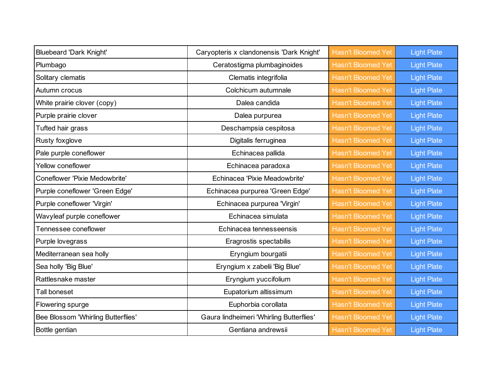| <b>Bluebeard 'Dark Knight'</b>     | Caryopteris x clandonensis 'Dark Knight' | <b>Hasn't Bloomed Yet</b> | <b>Light Plate</b> |
|------------------------------------|------------------------------------------|---------------------------|--------------------|
| Plumbago                           | Ceratostigma plumbaginoides              | <b>Hasn't Bloomed Yet</b> | <b>Light Plate</b> |
| Solitary clematis                  | Clematis integrifolia                    | <b>Hasn't Bloomed Yet</b> | <b>Light Plate</b> |
| Autumn crocus                      | Colchicum autumnale                      | <b>Hasn't Bloomed Yet</b> | <b>Light Plate</b> |
| White prairie clover (copy)        | Dalea candida                            | <b>Hasn't Bloomed Yet</b> | <b>Light Plate</b> |
| Purple prairie clover              | Dalea purpurea                           | <b>Hasn't Bloomed Yet</b> | <b>Light Plate</b> |
| Tufted hair grass                  | Deschampsia cespitosa                    | <b>Hasn't Bloomed Yet</b> | <b>Light Plate</b> |
| Rusty foxglove                     | Digitalis ferruginea                     | <b>Hasn't Bloomed Yet</b> | <b>Light Plate</b> |
| Pale purple coneflower             | Echinacea pallida                        | <b>Hasn't Bloomed Yet</b> | <b>Light Plate</b> |
| Yellow coneflower                  | Echinacea paradoxa                       | <b>Hasn't Bloomed Yet</b> | <b>Light Plate</b> |
| Coneflower 'Pixie Medowbrite'      | Echinacea 'Pixie Meadowbrite'            | <b>Hasn't Bloomed Yet</b> | <b>Light Plate</b> |
| Purple coneflower 'Green Edge'     | Echinacea purpurea 'Green Edge'          | <b>Hasn't Bloomed Yet</b> | <b>Light Plate</b> |
| Purple coneflower 'Virgin'         | Echinacea purpurea 'Virgin'              | <b>Hasn't Bloomed Yet</b> | <b>Light Plate</b> |
| Wavyleaf purple coneflower         | Echinacea simulata                       | <b>Hasn't Bloomed Yet</b> | <b>Light Plate</b> |
| Tennessee coneflower               | Echinacea tennesseensis                  | <b>Hasn't Bloomed Yet</b> | <b>Light Plate</b> |
| Purple lovegrass                   | Eragrostis spectabilis                   | <b>Hasn't Bloomed Yet</b> | <b>Light Plate</b> |
| Mediterranean sea holly            | Eryngium bourgatii                       | <b>Hasn't Bloomed Yet</b> | <b>Light Plate</b> |
| Sea holly 'Big Blue'               | Eryngium x zabelii 'Big Blue'            | <b>Hasn't Bloomed Yet</b> | <b>Light Plate</b> |
| Rattlesnake master                 | Eryngium yuccifolium                     | <b>Hasn't Bloomed Yet</b> | <b>Light Plate</b> |
| Tall boneset                       | Eupatorium altissimum                    | <b>Hasn't Bloomed Yet</b> | <b>Light Plate</b> |
| Flowering spurge                   | Euphorbia corollata                      | <b>Hasn't Bloomed Yet</b> | <b>Light Plate</b> |
| Bee Blossom 'Whirling Butterflies' | Gaura lindheimeri 'Whirling Butterflies' | <b>Hasn't Bloomed Yet</b> | <b>Light Plate</b> |
| Bottle gentian                     | Gentiana andrewsii                       | <b>Hasn't Bloomed Yet</b> | <b>Light Plate</b> |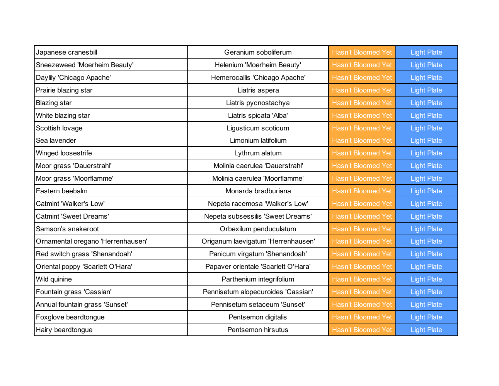| Japanese cranesbill               | Geranium soboliferum                | <b>Hasn't Bloomed Yet</b> | <b>Light Plate</b> |
|-----------------------------------|-------------------------------------|---------------------------|--------------------|
| Sneezeweed 'Moerheim Beauty'      | Helenium 'Moerheim Beauty'          | <b>Hasn't Bloomed Yet</b> | <b>Light Plate</b> |
| Daylily 'Chicago Apache'          | Hemerocallis 'Chicago Apache'       | <b>Hasn't Bloomed Yet</b> | <b>Light Plate</b> |
| Prairie blazing star              | Liatris aspera                      | <b>Hasn't Bloomed Yet</b> | <b>Light Plate</b> |
| <b>Blazing star</b>               | Liatris pycnostachya                | <b>Hasn't Bloomed Yet</b> | <b>Light Plate</b> |
| White blazing star                | Liatris spicata 'Alba'              | <b>Hasn't Bloomed Yet</b> | <b>Light Plate</b> |
| Scottish lovage                   | Ligusticum scoticum                 | <b>Hasn't Bloomed Yet</b> | <b>Light Plate</b> |
| Sea lavender                      | Limonium latifolium                 | <b>Hasn't Bloomed Yet</b> | <b>Light Plate</b> |
| Winged loosestrife                | Lythrum alatum                      | <b>Hasn't Bloomed Yet</b> | <b>Light Plate</b> |
| Moor grass 'Dauerstrahl'          | Molinia caerulea 'Dauerstrahl'      | <b>Hasn't Bloomed Yet</b> | <b>Light Plate</b> |
| Moor grass 'Moorflamme'           | Molinia caerulea 'Moorflamme'       | <b>Hasn't Bloomed Yet</b> | <b>Light Plate</b> |
| Eastern beebalm                   | Monarda bradburiana                 | <b>Hasn't Bloomed Yet</b> | <b>Light Plate</b> |
| Catmint 'Walker's Low'            | Nepeta racemosa 'Walker's Low'      | <b>Hasn't Bloomed Yet</b> | <b>Light Plate</b> |
| <b>Catmint 'Sweet Dreams'</b>     | Nepeta subsessilis 'Sweet Dreams'   | <b>Hasn't Bloomed Yet</b> | <b>Light Plate</b> |
| Samson's snakeroot                | Orbexilum penduculatum              | <b>Hasn't Bloomed Yet</b> | <b>Light Plate</b> |
| Ornamental oregano 'Herrenhausen' | Origanum laevigatum 'Herrenhausen'  | <b>Hasn't Bloomed Yet</b> | <b>Light Plate</b> |
| Red switch grass 'Shenandoah'     | Panicum virgatum 'Shenandoah'       | <b>Hasn't Bloomed Yet</b> | <b>Light Plate</b> |
| Oriental poppy 'Scarlett O'Hara'  | Papaver orientale 'Scarlett O'Hara' | <b>Hasn't Bloomed Yet</b> | <b>Light Plate</b> |
| Wild quinine                      | Parthenium integrifolium            | <b>Hasn't Bloomed Yet</b> | <b>Light Plate</b> |
| Fountain grass 'Cassian'          | Pennisetum alopecuroides 'Cassian'  | <b>Hasn't Bloomed Yet</b> | <b>Light Plate</b> |
| Annual fountain grass 'Sunset'    | Pennisetum setaceum 'Sunset'        | <b>Hasn't Bloomed Yet</b> | <b>Light Plate</b> |
| Foxglove beardtongue              | Pentsemon digitalis                 | <b>Hasn't Bloomed Yet</b> | <b>Light Plate</b> |
| Hairy beardtongue                 | Pentsemon hirsutus                  | <b>Hasn't Bloomed Yet</b> | <b>Light Plate</b> |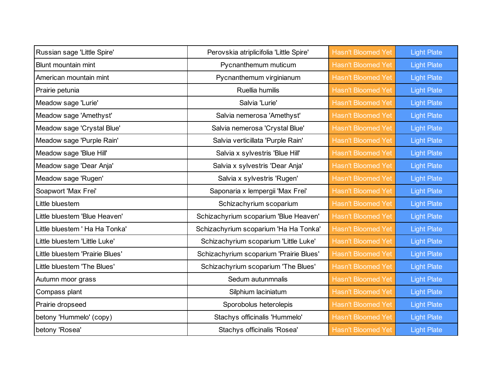| Russian sage 'Little Spire'     | Perovskia atriplicifolia 'Little Spire' | <b>Hasn't Bloomed Yet</b> | <b>Light Plate</b> |
|---------------------------------|-----------------------------------------|---------------------------|--------------------|
| Blunt mountain mint             | Pycnanthemum muticum                    | <b>Hasn't Bloomed Yet</b> | <b>Light Plate</b> |
| American mountain mint          | Pycnanthemum virginianum                | <b>Hasn't Bloomed Yet</b> | <b>Light Plate</b> |
| Prairie petunia                 | Ruellia humilis                         | <b>Hasn't Bloomed Yet</b> | <b>Light Plate</b> |
| Meadow sage 'Lurie'             | Salvia 'Lurie'                          | <b>Hasn't Bloomed Yet</b> | <b>Light Plate</b> |
| Meadow sage 'Amethyst'          | Salvia nemerosa 'Amethyst'              | <b>Hasn't Bloomed Yet</b> | <b>Light Plate</b> |
| Meadow sage 'Crystal Blue'      | Salvia nemerosa 'Crystal Blue'          | <b>Hasn't Bloomed Yet</b> | <b>Light Plate</b> |
| Meadow sage 'Purple Rain'       | Salvia verticillata 'Purple Rain'       | <b>Hasn't Bloomed Yet</b> | <b>Light Plate</b> |
| Meadow sage 'Blue Hill'         | Salvia x sylvestris 'Blue Hill'         | <b>Hasn't Bloomed Yet</b> | <b>Light Plate</b> |
| Meadow sage 'Dear Anja'         | Salvia x sylvestris 'Dear Anja'         | <b>Hasn't Bloomed Yet</b> | <b>Light Plate</b> |
| Meadow sage 'Rugen'             | Salvia x sylvestris 'Rugen'             | <b>Hasn't Bloomed Yet</b> | <b>Light Plate</b> |
| Soapwort 'Max Frei'             | Saponaria x lempergii 'Max Frei'        | <b>Hasn't Bloomed Yet</b> | <b>Light Plate</b> |
| ittle bluestem                  | Schizachyrium scoparium                 | <b>Hasn't Bloomed Yet</b> | <b>Light Plate</b> |
| ittle bluestem 'Blue Heaven'    | Schizachyrium scoparium 'Blue Heaven'   | <b>Hasn't Bloomed Yet</b> | <b>Light Plate</b> |
| Little bluestem ' Ha Ha Tonka'  | Schizachyrium scoparium 'Ha Ha Tonka'   | <b>Hasn't Bloomed Yet</b> | <b>Light Plate</b> |
| Little bluestem 'Little Luke'   | Schizachyrium scoparium 'Little Luke'   | <b>Hasn't Bloomed Yet</b> | <b>Light Plate</b> |
| Little bluestem 'Prairie Blues' | Schizachyrium scoparium 'Prairie Blues' | <b>Hasn't Bloomed Yet</b> | <b>Light Plate</b> |
| Little bluestem 'The Blues'     | Schizachyrium scoparium 'The Blues'     | <b>Hasn't Bloomed Yet</b> | <b>Light Plate</b> |
| Autumn moor grass               | Sedum autunmnalis                       | <b>Hasn't Bloomed Yet</b> | <b>Light Plate</b> |
| Compass plant                   | Silphium laciniatum                     | <b>Hasn't Bloomed Yet</b> | <b>Light Plate</b> |
| Prairie dropseed                | Sporobolus heterolepis                  | <b>Hasn't Bloomed Yet</b> | <b>Light Plate</b> |
| betony 'Hummelo' (copy)         | Stachys officinalis 'Hummelo'           | <b>Hasn't Bloomed Yet</b> | <b>Light Plate</b> |
| betony 'Rosea'                  | Stachys officinalis 'Rosea'             | <b>Hasn't Bloomed Yet</b> | <b>Light Plate</b> |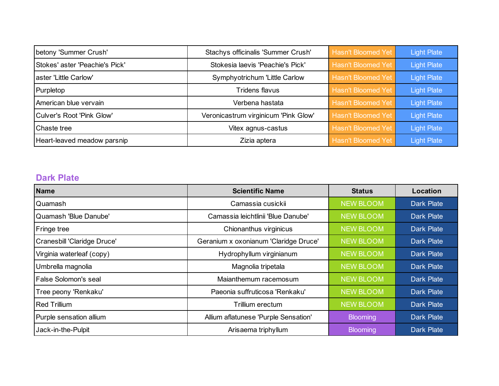| betony 'Summer Crush'          | Stachys officinalis 'Summer Crush'   | Hasn't Bloomed Yet        | <b>Light Plate</b> |
|--------------------------------|--------------------------------------|---------------------------|--------------------|
| Stokes' aster 'Peachie's Pick' | Stokesia laevis 'Peachie's Pick'     | <b>Hasn't Bloomed Yet</b> | <b>Light Plate</b> |
| aster 'Little Carlow'          | Symphyotrichum 'Little Carlow        | <b>Hasn't Bloomed Yet</b> | <b>Light Plate</b> |
| Purpletop                      | Tridens flavus                       | <b>Hasn't Bloomed Yet</b> | <b>Light Plate</b> |
| American blue vervain          | Verbena hastata                      | <b>Hasn't Bloomed Yet</b> | <b>Light Plate</b> |
| Culver's Root 'Pink Glow'      | Veronicastrum virginicum 'Pink Glow' | <b>Hasn't Bloomed Yet</b> | <b>Light Plate</b> |
| Chaste tree                    | Vitex agnus-castus                   | <b>Hasn't Bloomed Yet</b> | <b>Light Plate</b> |
| Heart-leaved meadow parsnip    | Zizia aptera                         | <b>Hasn't Bloomed Yet</b> | <b>Light Plate</b> |

### **Dark Plate**

| <b>Name</b>                 | <b>Scientific Name</b>                | <b>Status</b>    | Location          |
|-----------------------------|---------------------------------------|------------------|-------------------|
| Quamash                     | Camassia cusickii                     | <b>NEW BLOOM</b> | <b>Dark Plate</b> |
| Quamash 'Blue Danube'       | Camassia leichtlinii 'Blue Danube'    | <b>NEW BLOOM</b> | Dark Plate        |
| <b>Fringe tree</b>          | Chionanthus virginicus                | <b>NEW BLOOM</b> | <b>Dark Plate</b> |
| Cranesbill 'Claridge Druce' | Geranium x oxonianum 'Claridge Druce' | <b>NEW BLOOM</b> | <b>Dark Plate</b> |
| Virginia waterleaf (copy)   | Hydrophyllum virginianum              | <b>NEW BLOOM</b> | <b>Dark Plate</b> |
| Umbrella magnolia           | Magnolia tripetala                    | <b>NEW BLOOM</b> | <b>Dark Plate</b> |
| False Solomon's seal        | Maianthemum racemosum                 | <b>NEW BLOOM</b> | <b>Dark Plate</b> |
| Tree peony 'Renkaku'        | Paeonia suffruticosa 'Renkaku'        | NEW BLOOM        | <b>Dark Plate</b> |
| <b>Red Trillium</b>         | Trillium erectum                      | <b>NEW BLOOM</b> | <b>Dark Plate</b> |
| Purple sensation allium     | Allium aflatunese 'Purple Sensation'  | <b>Blooming</b>  | <b>Dark Plate</b> |
| Jack-in-the-Pulpit          | Arisaema triphyllum                   | <b>Blooming</b>  | <b>Dark Plate</b> |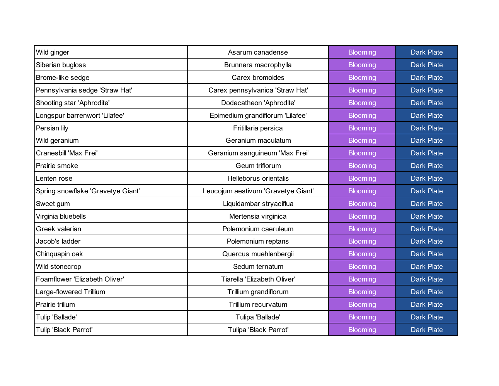| Wild ginger                       | Asarum canadense                   | <b>Blooming</b> | <b>Dark Plate</b> |
|-----------------------------------|------------------------------------|-----------------|-------------------|
| Siberian bugloss                  | Brunnera macrophylla               | <b>Blooming</b> | <b>Dark Plate</b> |
| Brome-like sedge                  | Carex bromoides                    | <b>Blooming</b> | <b>Dark Plate</b> |
| Pennsylvania sedge 'Straw Hat'    | Carex pennsylvanica 'Straw Hat'    | <b>Blooming</b> | <b>Dark Plate</b> |
| Shooting star 'Aphrodite'         | Dodecatheon 'Aphrodite'            | <b>Blooming</b> | <b>Dark Plate</b> |
| Longspur barrenwort 'Lilafee'     | Epimedium grandiflorum 'Lilafee'   | <b>Blooming</b> | <b>Dark Plate</b> |
| Persian lily                      | Fritillaria persica                | <b>Blooming</b> | <b>Dark Plate</b> |
| Wild geranium                     | Geranium maculatum                 | <b>Blooming</b> | <b>Dark Plate</b> |
| Cranesbill 'Max Frei'             | Geranium sanguineum 'Max Frei'     | <b>Blooming</b> | <b>Dark Plate</b> |
| Prairie smoke                     | Geum triflorum                     | <b>Blooming</b> | <b>Dark Plate</b> |
| Lenten rose                       | Helleborus orientalis              | <b>Blooming</b> | <b>Dark Plate</b> |
| Spring snowflake 'Gravetye Giant' | Leucojum aestivum 'Gravetye Giant' | <b>Blooming</b> | <b>Dark Plate</b> |
| Sweet gum                         | Liquidambar stryaciflua            | <b>Blooming</b> | <b>Dark Plate</b> |
| Virginia bluebells                | Mertensia virginica                | <b>Blooming</b> | <b>Dark Plate</b> |
| Greek valerian                    | Polemonium caeruleum               | <b>Blooming</b> | <b>Dark Plate</b> |
| Jacob's ladder                    | Polemonium reptans                 | <b>Blooming</b> | <b>Dark Plate</b> |
| Chinquapin oak                    | Quercus muehlenbergii              | <b>Blooming</b> | <b>Dark Plate</b> |
| Wild stonecrop                    | Sedum ternatum                     | <b>Blooming</b> | <b>Dark Plate</b> |
| Foamflower 'Elizabeth Oliver'     | Tiarella 'Elizabeth Oliver'        | <b>Blooming</b> | <b>Dark Plate</b> |
| Large-flowered Trillium           | Trillium grandiflorum              | <b>Blooming</b> | <b>Dark Plate</b> |
| Prairie trilium                   | Trillium recurvatum                | <b>Blooming</b> | <b>Dark Plate</b> |
| Tulip 'Ballade'                   | Tulipa 'Ballade'                   | <b>Blooming</b> | <b>Dark Plate</b> |
| Tulip 'Black Parrot'              | Tulipa 'Black Parrot'              | <b>Blooming</b> | <b>Dark Plate</b> |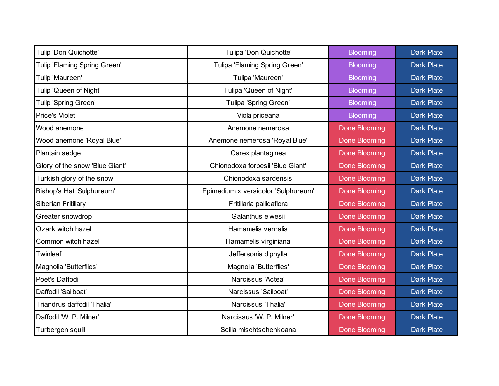| Tulip 'Don Quichotte'          | Tulipa 'Don Quichotte'              | <b>Blooming</b>      | <b>Dark Plate</b> |
|--------------------------------|-------------------------------------|----------------------|-------------------|
| Tulip 'Flaming Spring Green'   | Tulipa 'Flaming Spring Green'       | <b>Blooming</b>      | <b>Dark Plate</b> |
| Tulip 'Maureen'                | Tulipa 'Maureen'                    | <b>Blooming</b>      | <b>Dark Plate</b> |
| Tulip 'Queen of Night'         | Tulipa 'Queen of Night'             | <b>Blooming</b>      | <b>Dark Plate</b> |
| Tulip 'Spring Green'           | <b>Tulipa 'Spring Green'</b>        | <b>Blooming</b>      | <b>Dark Plate</b> |
| Price's Violet                 | Viola priceana                      | <b>Blooming</b>      | <b>Dark Plate</b> |
| Wood anemone                   | Anemone nemerosa                    | <b>Done Blooming</b> | <b>Dark Plate</b> |
| Wood anemone 'Royal Blue'      | Anemone nemerosa 'Royal Blue'       | <b>Done Blooming</b> | <b>Dark Plate</b> |
| Plantain sedge                 | Carex plantaginea                   | <b>Done Blooming</b> | <b>Dark Plate</b> |
| Glory of the snow 'Blue Giant' | Chionodoxa forbesii 'Blue Giant'    | <b>Done Blooming</b> | <b>Dark Plate</b> |
| Turkish glory of the snow      | Chionodoxa sardensis                | Done Blooming        | <b>Dark Plate</b> |
| Bishop's Hat 'Sulphureum'      | Epimedium x versicolor 'Sulphureum' | <b>Done Blooming</b> | <b>Dark Plate</b> |
| Siberian Fritillary            | Fritillaria pallidaflora            | <b>Done Blooming</b> | <b>Dark Plate</b> |
| Greater snowdrop               | Galanthus elwesii                   | <b>Done Blooming</b> | <b>Dark Plate</b> |
| Ozark witch hazel              | Hamamelis vernalis                  | <b>Done Blooming</b> | <b>Dark Plate</b> |
| Common witch hazel             | Hamamelis virginiana                | <b>Done Blooming</b> | <b>Dark Plate</b> |
| Twinleaf                       | Jeffersonia diphylla                | <b>Done Blooming</b> | <b>Dark Plate</b> |
| Magnolia 'Butterflies'         | Magnolia 'Butterflies'              | <b>Done Blooming</b> | <b>Dark Plate</b> |
| Poet's Daffodil                | Narcissus 'Actea'                   | Done Blooming        | <b>Dark Plate</b> |
| Daffodil 'Sailboat'            | Narcissus 'Sailboat'                | <b>Done Blooming</b> | <b>Dark Plate</b> |
| Triandrus daffodil 'Thalia'    | Narcissus 'Thalia'                  | <b>Done Blooming</b> | <b>Dark Plate</b> |
| Daffodil 'W. P. Milner'        | Narcissus 'W. P. Milner'            | <b>Done Blooming</b> | <b>Dark Plate</b> |
| Turbergen squill               | Scilla mischtschenkoana             | <b>Done Blooming</b> | <b>Dark Plate</b> |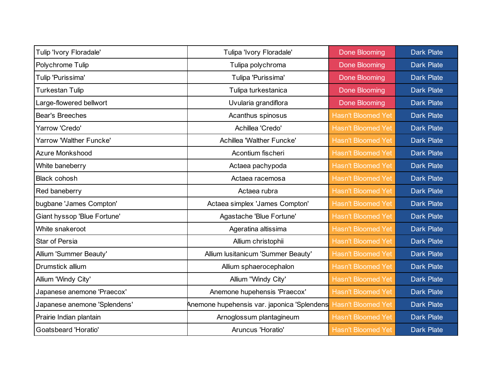| Tulip 'Ivory Floradale'      | Tulipa 'Ivory Floradale'                    | <b>Done Blooming</b>      | <b>Dark Plate</b> |
|------------------------------|---------------------------------------------|---------------------------|-------------------|
| Polychrome Tulip             | Tulipa polychroma                           | <b>Done Blooming</b>      | <b>Dark Plate</b> |
| Tulip 'Purissima'            | Tulipa 'Purissima'                          | Done Blooming             | <b>Dark Plate</b> |
| <b>Turkestan Tulip</b>       | Tulipa turkestanica                         | <b>Done Blooming</b>      | <b>Dark Plate</b> |
| Large-flowered bellwort      | Uvularia grandiflora                        | <b>Done Blooming</b>      | <b>Dark Plate</b> |
| <b>Bear's Breeches</b>       | Acanthus spinosus                           | <b>Hasn't Bloomed Yet</b> | <b>Dark Plate</b> |
| Yarrow 'Credo'               | Achillea 'Credo'                            | <b>Hasn't Bloomed Yet</b> | <b>Dark Plate</b> |
| Yarrow 'Walther Funcke'      | Achillea 'Walther Funcke'                   | <b>Hasn't Bloomed Yet</b> | <b>Dark Plate</b> |
| Azure Monkshood              | Acontium fischeri                           | <b>Hasn't Bloomed Yet</b> | <b>Dark Plate</b> |
| White baneberry              | Actaea pachypoda                            | <b>Hasn't Bloomed Yet</b> | <b>Dark Plate</b> |
| <b>Black cohosh</b>          | Actaea racemosa                             | <b>Hasn't Bloomed Yet</b> | <b>Dark Plate</b> |
| Red baneberry                | Actaea rubra                                | <b>Hasn't Bloomed Yet</b> | <b>Dark Plate</b> |
| bugbane 'James Compton'      | Actaea simplex 'James Compton'              | <b>Hasn't Bloomed Yet</b> | <b>Dark Plate</b> |
| Giant hyssop 'Blue Fortune'  | Agastache 'Blue Fortune'                    | <b>Hasn't Bloomed Yet</b> | <b>Dark Plate</b> |
| White snakeroot              | Ageratina altissima                         | <b>Hasn't Bloomed Yet</b> | <b>Dark Plate</b> |
| Star of Persia               | Allium christophii                          | <b>Hasn't Bloomed Yet</b> | <b>Dark Plate</b> |
| Allium 'Summer Beauty'       | Allium lusitanicum 'Summer Beauty'          | <b>Hasn't Bloomed Yet</b> | <b>Dark Plate</b> |
| Drumstick allium             | Allium sphaerocephalon                      | <b>Hasn't Bloomed Yet</b> | <b>Dark Plate</b> |
| Allium 'Windy City'          | Allium "Windy City'                         | <b>Hasn't Bloomed Yet</b> | <b>Dark Plate</b> |
| Japanese anemone 'Praecox'   | Anemone hupehensis 'Praecox'                | <b>Hasn't Bloomed Yet</b> | <b>Dark Plate</b> |
| Japanese anemone 'Splendens' | Anemone hupehensis var. japonica 'Splendens | <b>Hasn't Bloomed Yet</b> | <b>Dark Plate</b> |
| Prairie Indian plantain      | Arnoglossum plantagineum                    | <b>Hasn't Bloomed Yet</b> | <b>Dark Plate</b> |
| <b>Goatsbeard 'Horatio'</b>  | Aruncus 'Horatio'                           | <b>Hasn't Bloomed Yet</b> | <b>Dark Plate</b> |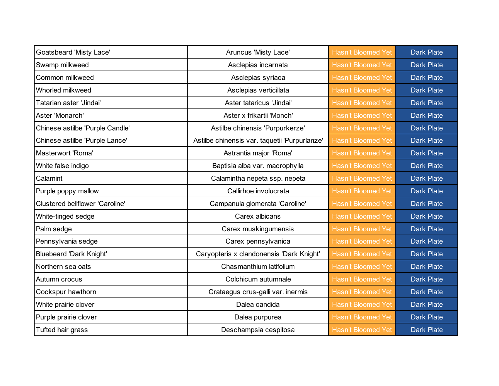| <b>Goatsbeard 'Misty Lace'</b>         | Aruncus 'Misty Lace'                          | <b>Hasn't Bloomed Yet</b> | <b>Dark Plate</b> |
|----------------------------------------|-----------------------------------------------|---------------------------|-------------------|
| Swamp milkweed                         | Asclepias incarnata                           | <b>Hasn't Bloomed Yet</b> | <b>Dark Plate</b> |
| Common milkweed                        | Asclepias syriaca                             | <b>Hasn't Bloomed Yet</b> | <b>Dark Plate</b> |
| Whorled milkweed                       | Asclepias verticillata                        | <b>Hasn't Bloomed Yet</b> | <b>Dark Plate</b> |
| Tatarian aster 'Jindai'                | Aster tataricus 'Jindai'                      | <b>Hasn't Bloomed Yet</b> | <b>Dark Plate</b> |
| Aster 'Monarch'                        | Aster x frikartii 'Monch'                     | <b>Hasn't Bloomed Yet</b> | <b>Dark Plate</b> |
| Chinese astilbe 'Purple Candle'        | Astilbe chinensis 'Purpurkerze'               | <b>Hasn't Bloomed Yet</b> | <b>Dark Plate</b> |
| Chinese astilbe 'Purple Lance'         | Astilbe chinensis var. taquetii 'Purpurlanze' | <b>Hasn't Bloomed Yet</b> | <b>Dark Plate</b> |
| Masterwort 'Roma'                      | Astrantia major 'Roma'                        | <b>Hasn't Bloomed Yet</b> | <b>Dark Plate</b> |
| White false indigo                     | Baptisia alba var. macrophylla                | <b>Hasn't Bloomed Yet</b> | <b>Dark Plate</b> |
| Calamint                               | Calamintha nepeta ssp. nepeta                 | <b>Hasn't Bloomed Yet</b> | <b>Dark Plate</b> |
| Purple poppy mallow                    | Callirhoe involucrata                         | <b>Hasn't Bloomed Yet</b> | <b>Dark Plate</b> |
| <b>Clustered bellflower 'Caroline'</b> | Campanula glomerata 'Caroline'                | <b>Hasn't Bloomed Yet</b> | <b>Dark Plate</b> |
| White-tinged sedge                     | Carex albicans                                | <b>Hasn't Bloomed Yet</b> | <b>Dark Plate</b> |
| Palm sedge                             | Carex muskingumensis                          | <b>Hasn't Bloomed Yet</b> | <b>Dark Plate</b> |
| Pennsylvania sedge                     | Carex pennsylvanica                           | <b>Hasn't Bloomed Yet</b> | <b>Dark Plate</b> |
| <b>Bluebeard 'Dark Knight'</b>         | Caryopteris x clandonensis 'Dark Knight'      | <b>Hasn't Bloomed Yet</b> | <b>Dark Plate</b> |
| Northern sea oats                      | Chasmanthium latifolium                       | <b>Hasn't Bloomed Yet</b> | <b>Dark Plate</b> |
| Autumn crocus                          | Colchicum autumnale                           | <b>Hasn't Bloomed Yet</b> | <b>Dark Plate</b> |
| Cockspur hawthorn                      | Crataegus crus-galli var. inermis             | <b>Hasn't Bloomed Yet</b> | <b>Dark Plate</b> |
| White prairie clover                   | Dalea candida                                 | <b>Hasn't Bloomed Yet</b> | <b>Dark Plate</b> |
| Purple prairie clover                  | Dalea purpurea                                | <b>Hasn't Bloomed Yet</b> | <b>Dark Plate</b> |
| Tufted hair grass                      | Deschampsia cespitosa                         | <b>Hasn't Bloomed Yet</b> | <b>Dark Plate</b> |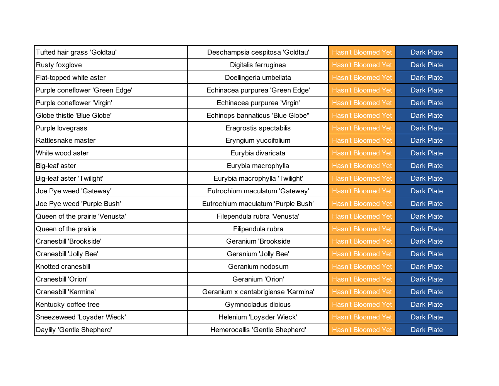| Tufted hair grass 'Goldtau'    | Deschampsia cespitosa 'Goldtau'     | <b>Hasn't Bloomed Yet</b> | <b>Dark Plate</b> |
|--------------------------------|-------------------------------------|---------------------------|-------------------|
| Rusty foxglove                 | Digitalis ferruginea                | <b>Hasn't Bloomed Yet</b> | <b>Dark Plate</b> |
| Flat-topped white aster        | Doellingeria umbellata              | <b>Hasn't Bloomed Yet</b> | <b>Dark Plate</b> |
| Purple coneflower 'Green Edge' | Echinacea purpurea 'Green Edge'     | <b>Hasn't Bloomed Yet</b> | <b>Dark Plate</b> |
| Purple coneflower 'Virgin'     | Echinacea purpurea 'Virgin'         | <b>Hasn't Bloomed Yet</b> | <b>Dark Plate</b> |
| Globe thistle 'Blue Globe'     | Echinops bannaticus 'Blue Globe"    | <b>Hasn't Bloomed Yet</b> | <b>Dark Plate</b> |
| Purple lovegrass               | Eragrostis spectabilis              | <b>Hasn't Bloomed Yet</b> | <b>Dark Plate</b> |
| Rattlesnake master             | Eryngium yuccifolium                | <b>Hasn't Bloomed Yet</b> | <b>Dark Plate</b> |
| White wood aster               | Eurybia divaricata                  | <b>Hasn't Bloomed Yet</b> | <b>Dark Plate</b> |
| Big-leaf aster                 | Eurybia macrophylla                 | <b>Hasn't Bloomed Yet</b> | <b>Dark Plate</b> |
| Big-leaf aster 'Twilight'      | Eurybia macrophylla 'Twilight'      | <b>Hasn't Bloomed Yet</b> | <b>Dark Plate</b> |
| Joe Pye weed 'Gateway'         | Eutrochium maculatum 'Gateway'      | <b>Hasn't Bloomed Yet</b> | <b>Dark Plate</b> |
| Joe Pye weed 'Purple Bush'     | Eutrochium maculatum 'Purple Bush'  | <b>Hasn't Bloomed Yet</b> | <b>Dark Plate</b> |
| Queen of the prairie 'Venusta' | Filependula rubra 'Venusta'         | <b>Hasn't Bloomed Yet</b> | <b>Dark Plate</b> |
| Queen of the prairie           | Filipendula rubra                   | <b>Hasn't Bloomed Yet</b> | <b>Dark Plate</b> |
| Cranesbill 'Brookside'         | Geranium 'Brookside                 | <b>Hasn't Bloomed Yet</b> | <b>Dark Plate</b> |
| Cranesbill 'Jolly Bee'         | Geranium 'Jolly Bee'                | <b>Hasn't Bloomed Yet</b> | <b>Dark Plate</b> |
| Knotted cranesbill             | Geranium nodosum                    | <b>Hasn't Bloomed Yet</b> | <b>Dark Plate</b> |
| Cranesbill 'Orion'             | Geranium 'Orion'                    | <b>Hasn't Bloomed Yet</b> | <b>Dark Plate</b> |
| Cranesbill 'Karmina'           | Geranium x cantabrigiense 'Karmina' | <b>Hasn't Bloomed Yet</b> | <b>Dark Plate</b> |
| Kentucky coffee tree           | Gymnocladus dioicus                 | <b>Hasn't Bloomed Yet</b> | <b>Dark Plate</b> |
| Sneezeweed 'Loysder Wieck'     | Helenium 'Loysder Wieck'            | <b>Hasn't Bloomed Yet</b> | <b>Dark Plate</b> |
| Daylily 'Gentle Shepherd'      | Hemerocallis 'Gentle Shepherd'      | <b>Hasn't Bloomed Yet</b> | <b>Dark Plate</b> |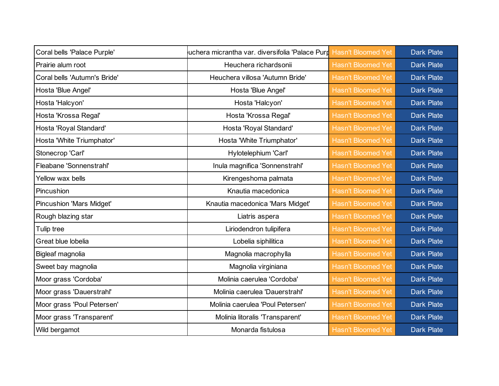| Coral bells 'Palace Purple'  | uchera micrantha var. diversifolia 'Palace Purp Hasn't Bloomed Yet |                           | <b>Dark Plate</b> |
|------------------------------|--------------------------------------------------------------------|---------------------------|-------------------|
| Prairie alum root            | Heuchera richardsonii                                              | <b>Hasn't Bloomed Yet</b> | <b>Dark Plate</b> |
| Coral bells 'Autumn's Bride' | Heuchera villosa 'Autumn Bride'                                    | <b>Hasn't Bloomed Yet</b> | <b>Dark Plate</b> |
| Hosta 'Blue Angel'           | Hosta 'Blue Angel'                                                 | <b>Hasn't Bloomed Yet</b> | <b>Dark Plate</b> |
| Hosta 'Halcyon'              | Hosta 'Halcyon'                                                    | <b>Hasn't Bloomed Yet</b> | <b>Dark Plate</b> |
| Hosta 'Krossa Regal'         | Hosta 'Krossa Regal'                                               | <b>Hasn't Bloomed Yet</b> | <b>Dark Plate</b> |
| Hosta 'Royal Standard'       | Hosta 'Royal Standard'                                             | <b>Hasn't Bloomed Yet</b> | <b>Dark Plate</b> |
| Hosta 'White Triumphator'    | Hosta 'White Triumphator'                                          | <b>Hasn't Bloomed Yet</b> | <b>Dark Plate</b> |
| Stonecrop 'Carl'             | Hylotelephium 'Carl'                                               | <b>Hasn't Bloomed Yet</b> | <b>Dark Plate</b> |
| Fleabane 'Sonnenstrahl'      | Inula magnifica 'Sonnenstrahl'                                     | <b>Hasn't Bloomed Yet</b> | <b>Dark Plate</b> |
| Yellow wax bells             | Kirengeshoma palmata                                               | <b>Hasn't Bloomed Yet</b> | <b>Dark Plate</b> |
| Pincushion                   | Knautia macedonica                                                 | <b>Hasn't Bloomed Yet</b> | <b>Dark Plate</b> |
| Pincushion 'Mars Midget'     | Knautia macedonica 'Mars Midget'                                   | <b>Hasn't Bloomed Yet</b> | <b>Dark Plate</b> |
| Rough blazing star           | Liatris aspera                                                     | <b>Hasn't Bloomed Yet</b> | <b>Dark Plate</b> |
| Tulip tree                   | Liriodendron tulipifera                                            | <b>Hasn't Bloomed Yet</b> | <b>Dark Plate</b> |
| Great blue lobelia           | Lobelia siphilitica                                                | <b>Hasn't Bloomed Yet</b> | <b>Dark Plate</b> |
| Bigleaf magnolia             | Magnolia macrophylla                                               | <b>Hasn't Bloomed Yet</b> | <b>Dark Plate</b> |
| Sweet bay magnolia           | Magnolia virginiana                                                | <b>Hasn't Bloomed Yet</b> | <b>Dark Plate</b> |
| Moor grass 'Cordoba'         | Molinia caerulea 'Cordoba'                                         | <b>Hasn't Bloomed Yet</b> | <b>Dark Plate</b> |
| Moor grass 'Dauerstrahl'     | Molinia caerulea 'Dauerstrahl'                                     | <b>Hasn't Bloomed Yet</b> | <b>Dark Plate</b> |
| Moor grass 'Poul Petersen'   | Molinia caerulea 'Poul Petersen'                                   | <b>Hasn't Bloomed Yet</b> | <b>Dark Plate</b> |
| Moor grass 'Transparent'     | Molinia litoralis 'Transparent'                                    | <b>Hasn't Bloomed Yet</b> | <b>Dark Plate</b> |
| Wild bergamot                | Monarda fistulosa                                                  | <b>Hasn't Bloomed Yet</b> | <b>Dark Plate</b> |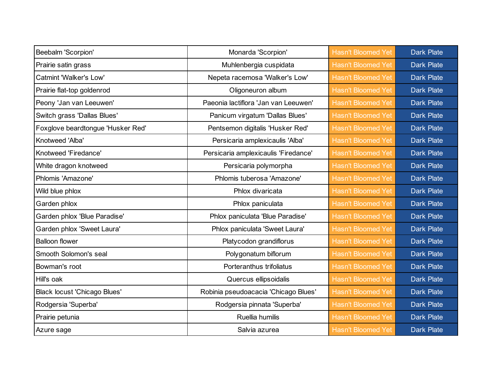| Beebalm 'Scorpion'                  | Monarda 'Scorpion'                   | <b>Hasn't Bloomed Yet</b> | <b>Dark Plate</b> |
|-------------------------------------|--------------------------------------|---------------------------|-------------------|
| Prairie satin grass                 | Muhlenbergia cuspidata               | <b>Hasn't Bloomed Yet</b> | <b>Dark Plate</b> |
| Catmint 'Walker's Low'              | Nepeta racemosa 'Walker's Low'       | <b>Hasn't Bloomed Yet</b> | <b>Dark Plate</b> |
| Prairie flat-top goldenrod          | Oligoneuron album                    | <b>Hasn't Bloomed Yet</b> | <b>Dark Plate</b> |
| Peony 'Jan van Leeuwen'             | Paeonia lactiflora 'Jan van Leeuwen' | <b>Hasn't Bloomed Yet</b> | <b>Dark Plate</b> |
| Switch grass 'Dallas Blues'         | Panicum virgatum 'Dallas Blues'      | <b>Hasn't Bloomed Yet</b> | <b>Dark Plate</b> |
| Foxglove beardtongue 'Husker Red'   | Pentsemon digitalis 'Husker Red'     | <b>Hasn't Bloomed Yet</b> | <b>Dark Plate</b> |
| Knotweed 'Alba'                     | Persicaria amplexicaulis 'Alba'      | <b>Hasn't Bloomed Yet</b> | <b>Dark Plate</b> |
| Knotweed 'Firedance'                | Persicaria amplexicaulis 'Firedance' | <b>Hasn't Bloomed Yet</b> | <b>Dark Plate</b> |
| White dragon knotweed               | Persicaria polymorpha                | <b>Hasn't Bloomed Yet</b> | <b>Dark Plate</b> |
| Phlomis 'Amazone'                   | Phlomis tuberosa 'Amazone'           | <b>Hasn't Bloomed Yet</b> | <b>Dark Plate</b> |
| Wild blue phlox                     | Phlox divaricata                     | <b>Hasn't Bloomed Yet</b> | <b>Dark Plate</b> |
| Garden phlox                        | Phlox paniculata                     | <b>Hasn't Bloomed Yet</b> | <b>Dark Plate</b> |
| Garden phlox 'Blue Paradise'        | Phlox paniculata 'Blue Paradise'     | <b>Hasn't Bloomed Yet</b> | <b>Dark Plate</b> |
| Garden phlox 'Sweet Laura'          | Phlox paniculata 'Sweet Laura'       | <b>Hasn't Bloomed Yet</b> | <b>Dark Plate</b> |
| <b>Balloon flower</b>               | Platycodon grandiflorus              | <b>Hasn't Bloomed Yet</b> | <b>Dark Plate</b> |
| Smooth Solomon's seal               | Polygonatum biflorum                 | <b>Hasn't Bloomed Yet</b> | <b>Dark Plate</b> |
| Bowman's root                       | Porteranthus trifoliatus             | <b>Hasn't Bloomed Yet</b> | <b>Dark Plate</b> |
| Hill's oak                          | Quercus ellipsoidalis                | <b>Hasn't Bloomed Yet</b> | <b>Dark Plate</b> |
| <b>Black locust 'Chicago Blues'</b> | Robinia pseudoacacia 'Chicago Blues' | <b>Hasn't Bloomed Yet</b> | <b>Dark Plate</b> |
| Rodgersia 'Superba'                 | Rodgersia pinnata 'Superba'          | <b>Hasn't Bloomed Yet</b> | <b>Dark Plate</b> |
| Prairie petunia                     | Ruellia humilis                      | <b>Hasn't Bloomed Yet</b> | <b>Dark Plate</b> |
| Azure sage                          | Salvia azurea                        | <b>Hasn't Bloomed Yet</b> | <b>Dark Plate</b> |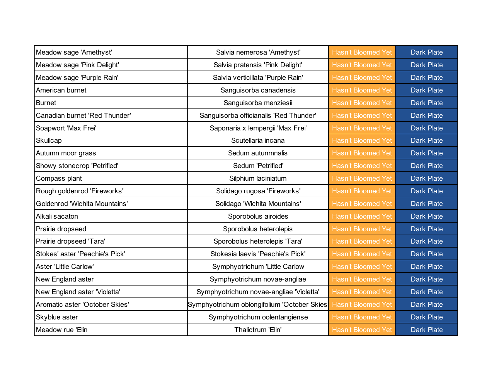| Meadow sage 'Amethyst'               | Salvia nemerosa 'Amethyst'                   | <b>Hasn't Bloomed Yet</b> | <b>Dark Plate</b> |
|--------------------------------------|----------------------------------------------|---------------------------|-------------------|
| Meadow sage 'Pink Delight'           | Salvia pratensis 'Pink Delight'              | <b>Hasn't Bloomed Yet</b> | <b>Dark Plate</b> |
| Meadow sage 'Purple Rain'            | Salvia verticillata 'Purple Rain'            | <b>Hasn't Bloomed Yet</b> | <b>Dark Plate</b> |
| American burnet                      | Sanguisorba canadensis                       | <b>Hasn't Bloomed Yet</b> | <b>Dark Plate</b> |
| <b>Burnet</b>                        | Sanguisorba menziesii                        | <b>Hasn't Bloomed Yet</b> | <b>Dark Plate</b> |
| Canadian burnet 'Red Thunder'        | Sanguisorba officianalis 'Red Thunder'       | <b>Hasn't Bloomed Yet</b> | <b>Dark Plate</b> |
| Soapwort 'Max Frei'                  | Saponaria x lempergii 'Max Frei'             | <b>Hasn't Bloomed Yet</b> | <b>Dark Plate</b> |
| Skullcap                             | Scutellaria incana                           | <b>Hasn't Bloomed Yet</b> | <b>Dark Plate</b> |
| Autumn moor grass                    | Sedum autunmnalis                            | <b>Hasn't Bloomed Yet</b> | <b>Dark Plate</b> |
| Showy stonecrop 'Petrified'          | Sedum 'Petrified'                            | <b>Hasn't Bloomed Yet</b> | <b>Dark Plate</b> |
| Compass plant                        | Silphium laciniatum                          | <b>Hasn't Bloomed Yet</b> | <b>Dark Plate</b> |
| Rough goldenrod 'Fireworks'          | Solidago rugosa 'Fireworks'                  | <b>Hasn't Bloomed Yet</b> | <b>Dark Plate</b> |
| <b>Goldenrod 'Wichita Mountains'</b> | Solidago 'Wichita Mountains'                 | <b>Hasn't Bloomed Yet</b> | <b>Dark Plate</b> |
| Alkali sacaton                       | Sporobolus airoides                          | <b>Hasn't Bloomed Yet</b> | <b>Dark Plate</b> |
| Prairie dropseed                     | Sporobolus heterolepis                       | <b>Hasn't Bloomed Yet</b> | <b>Dark Plate</b> |
| Prairie dropseed 'Tara'              | Sporobolus heterolepis 'Tara'                | <b>Hasn't Bloomed Yet</b> | <b>Dark Plate</b> |
| Stokes' aster 'Peachie's Pick'       | Stokesia laevis 'Peachie's Pick'             | <b>Hasn't Bloomed Yet</b> | <b>Dark Plate</b> |
| <b>Aster 'Little Carlow'</b>         | Symphyotrichum 'Little Carlow                | <b>Hasn't Bloomed Yet</b> | <b>Dark Plate</b> |
| New England aster                    | Symphyotrichum novae-angliae                 | <b>Hasn't Bloomed Yet</b> | <b>Dark Plate</b> |
| New England aster 'Violetta'         | Symphyotrichum novae-angliae 'Violetta'      | <b>Hasn't Bloomed Yet</b> | <b>Dark Plate</b> |
| Aromatic aster 'October Skies'       | Symphyotrichum oblongifolium 'October Skies' | <b>Hasn't Bloomed Yet</b> | <b>Dark Plate</b> |
| Skyblue aster                        | Symphyotrichum oolentangiense                | <b>Hasn't Bloomed Yet</b> | <b>Dark Plate</b> |
| Meadow rue 'Elin                     | Thalictrum 'Elin'                            | <b>Hasn't Bloomed Yet</b> | <b>Dark Plate</b> |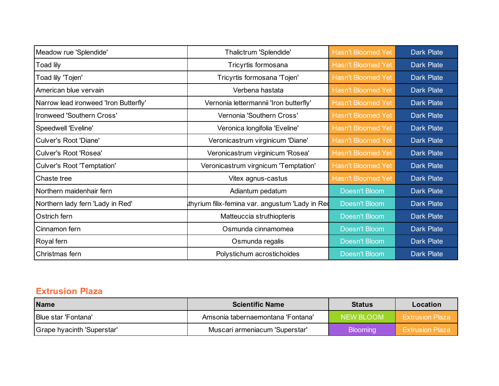| Meadow rue 'Splendide'                | Thalictrum 'Splendide'                          | <b>Hasn't Bloomed Yet</b> | <b>Dark Plate</b> |
|---------------------------------------|-------------------------------------------------|---------------------------|-------------------|
| Toad lily                             | Tricyrtis formosana                             | <b>Hasn't Bloomed Yet</b> | <b>Dark Plate</b> |
| Toad lily 'Tojen'                     | Tricyrtis formosana 'Tojen'                     | <b>Hasn't Bloomed Yet</b> | <b>Dark Plate</b> |
| American blue vervain                 | Verbena hastata                                 | <b>Hasn't Bloomed Yet</b> | <b>Dark Plate</b> |
| Narrow lead ironweed 'Iron Butterfly' | Vernonia lettermannii 'Iron butterfly'          | <b>Hasn't Bloomed Yet</b> | <b>Dark Plate</b> |
| Ironweed 'Southern Cross'             | Vernonia 'Southern Cross'                       | <b>Hasn't Bloomed Yet</b> | <b>Dark Plate</b> |
| Speedwell 'Eveline'                   | Veronica longifolia 'Eveline'                   | <b>Hasn't Bloomed Yet</b> | <b>Dark Plate</b> |
| <b>Culver's Root 'Diane'</b>          | Veronicastrum virginicum 'Diane'                | <b>Hasn't Bloomed Yet</b> | <b>Dark Plate</b> |
| <b>Culver's Root 'Rosea'</b>          | Veronicastrum virginicum 'Rosea'                | <b>Hasn't Bloomed Yet</b> | <b>Dark Plate</b> |
| Culver's Root 'Temptation'            | Veronicastrum virgnicum 'Temptation'            | <b>Hasn't Bloomed Yet</b> | <b>Dark Plate</b> |
| Chaste tree                           | Vitex agnus-castus                              | <b>Hasn't Bloomed Yet</b> | <b>Dark Plate</b> |
| Northern maidenhair fern              | Adiantum pedatum                                | Doesn't Bloom             | <b>Dark Plate</b> |
| Northern lady fern 'Lady in Red'      | thyrium filix-femina var. angustum 'Lady in Red | Doesn't Bloom             | <b>Dark Plate</b> |
| Ostrich fern                          | Matteuccia struthiopteris                       | Doesn't Bloom             | <b>Dark Plate</b> |
| Cinnamon fern                         | Osmunda cinnamomea                              | Doesn't Bloom             | <b>Dark Plate</b> |
| Royal fern                            | Osmunda regalis                                 | Doesn't Bloom             | <b>Dark Plate</b> |
| Christmas fern                        | Polystichum acrostichoides                      | Doesn't Bloom             | <b>Dark Plate</b> |

#### **Extrusion Plaza**

| Name                       | <b>Scientific Name</b>            | <b>Status</b>   | Location               |
|----------------------------|-----------------------------------|-----------------|------------------------|
| Blue star 'Fontana'        | Amsonia tabernaemontana 'Fontana' | NEW BLOOM       | <b>Extrusion Plaza</b> |
| Grape hyacinth 'Superstar' | Muscari armeniacum 'Superstar'    | <b>Blooming</b> | <b>Extrusion Plaza</b> |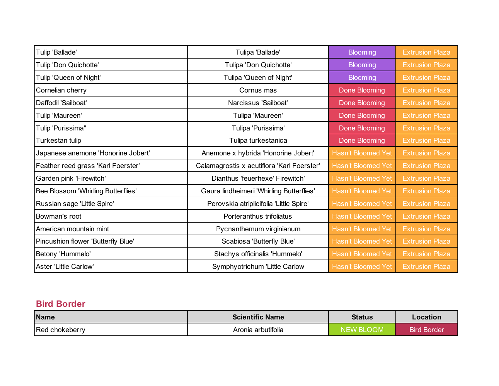| Tulip 'Ballade'                    | Tulipa 'Ballade'                           | <b>Blooming</b>           | <b>Extrusion Plaza</b> |
|------------------------------------|--------------------------------------------|---------------------------|------------------------|
| Tulip 'Don Quichotte'              | Tulipa 'Don Quichotte'                     | <b>Blooming</b>           | <b>Extrusion Plaza</b> |
| Tulip 'Queen of Night'             | Tulipa 'Queen of Night'                    | <b>Blooming</b>           | <b>Extrusion Plaza</b> |
| Cornelian cherry                   | Cornus mas                                 | Done Blooming             | <b>Extrusion Plaza</b> |
| Daffodil 'Sailboat'                | Narcissus 'Sailboat'                       | Done Blooming             | <b>Extrusion Plaza</b> |
| Tulip 'Maureen'                    | Tulipa 'Maureen'                           | Done Blooming             | <b>Extrusion Plaza</b> |
| Tulip 'Purissima"                  | Tulipa 'Purissima'                         | <b>Done Blooming</b>      | <b>Extrusion Plaza</b> |
| Turkestan tulip                    | Tulipa turkestanica                        | Done Blooming             | <b>Extrusion Plaza</b> |
| Japanese anemone 'Honorine Jobert' | Anemone x hybrida 'Honorine Jobert'        | <b>Hasn't Bloomed Yet</b> | <b>Extrusion Plaza</b> |
| Feather reed grass 'Karl Foerster' | Calamagrostis x acutiflora 'Karl Foerster' | <b>Hasn't Bloomed Yet</b> | <b>Extrusion Plaza</b> |
| Garden pink 'Firewitch'            | Dianthus 'feuerhexe' Firewitch'            | <b>Hasn't Bloomed Yet</b> | <b>Extrusion Plaza</b> |
| Bee Blossom 'Whirling Butterflies' | Gaura lindheimeri 'Whirling Butterflies'   | <b>Hasn't Bloomed Yet</b> | <b>Extrusion Plaza</b> |
| Russian sage 'Little Spire'        | Perovskia atriplicifolia 'Little Spire'    | <b>Hasn't Bloomed Yet</b> | <b>Extrusion Plaza</b> |
| Bowman's root                      | Porteranthus trifoliatus                   | <b>Hasn't Bloomed Yet</b> | <b>Extrusion Plaza</b> |
| American mountain mint             | Pycnanthemum virginianum                   | <b>Hasn't Bloomed Yet</b> | <b>Extrusion Plaza</b> |
| Pincushion flower 'Butterfly Blue' | Scabiosa 'Butterfly Blue'                  | <b>Hasn't Bloomed Yet</b> | <b>Extrusion Plaza</b> |
| Betony 'Hummelo'                   | Stachys officinalis 'Hummelo'              | <b>Hasn't Bloomed Yet</b> | <b>Extrusion Plaza</b> |
| Aster 'Little Carlow'              | Symphyotrichum 'Little Carlow              | <b>Hasn't Bloomed Yet</b> | <b>Extrusion Plaza</b> |

### **Bird Border**

| <b>Name</b>           | <b>Scientific Name</b> | <b>Status</b>    | Location           |
|-----------------------|------------------------|------------------|--------------------|
| <b>Red chokeberry</b> | Aronia arbutifolia     | <b>NEW BLOOM</b> | <b>Bird Border</b> |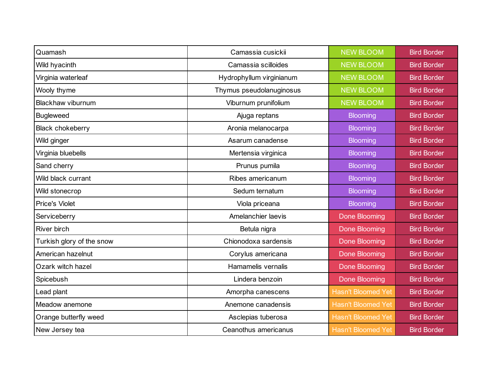| Quamash                   | Camassia cusickii        | <b>NEW BLOOM</b>          | <b>Bird Border</b> |
|---------------------------|--------------------------|---------------------------|--------------------|
| Wild hyacinth             | Camassia scilloides      | <b>NEW BLOOM</b>          | <b>Bird Border</b> |
| Virginia waterleaf        | Hydrophyllum virginianum | <b>NEW BLOOM</b>          | <b>Bird Border</b> |
| Wooly thyme               | Thymus pseudolanuginosus | <b>NEW BLOOM</b>          | <b>Bird Border</b> |
| Blackhaw viburnum         | Viburnum prunifolium     | <b>NEW BLOOM</b>          | <b>Bird Border</b> |
| <b>Bugleweed</b>          | Ajuga reptans            | <b>Blooming</b>           | <b>Bird Border</b> |
| <b>Black chokeberry</b>   | Aronia melanocarpa       | <b>Blooming</b>           | <b>Bird Border</b> |
| Wild ginger               | Asarum canadense         | <b>Blooming</b>           | <b>Bird Border</b> |
| Virginia bluebells        | Mertensia virginica      | <b>Blooming</b>           | <b>Bird Border</b> |
| Sand cherry               | Prunus pumila            | <b>Blooming</b>           | <b>Bird Border</b> |
| Wild black currant        | Ribes americanum         | <b>Blooming</b>           | <b>Bird Border</b> |
| Wild stonecrop            | Sedum ternatum           | <b>Blooming</b>           | <b>Bird Border</b> |
| <b>Price's Violet</b>     | Viola priceana           | <b>Blooming</b>           | <b>Bird Border</b> |
| Serviceberry              | Amelanchier laevis       | <b>Done Blooming</b>      | <b>Bird Border</b> |
| River birch               | Betula nigra             | <b>Done Blooming</b>      | <b>Bird Border</b> |
| Turkish glory of the snow | Chionodoxa sardensis     | <b>Done Blooming</b>      | <b>Bird Border</b> |
| American hazelnut         | Corylus americana        | <b>Done Blooming</b>      | <b>Bird Border</b> |
| Ozark witch hazel         | Hamamelis vernalis       | <b>Done Blooming</b>      | <b>Bird Border</b> |
| Spicebush                 | Lindera benzoin          | <b>Done Blooming</b>      | <b>Bird Border</b> |
| Lead plant                | Amorpha canescens        | <b>Hasn't Bloomed Yet</b> | <b>Bird Border</b> |
| Meadow anemone            | Anemone canadensis       | <b>Hasn't Bloomed Yet</b> | <b>Bird Border</b> |
| Orange butterfly weed     | Asclepias tuberosa       | <b>Hasn't Bloomed Yet</b> | <b>Bird Border</b> |
| New Jersey tea            | Ceanothus americanus     | <b>Hasn't Bloomed Yet</b> | <b>Bird Border</b> |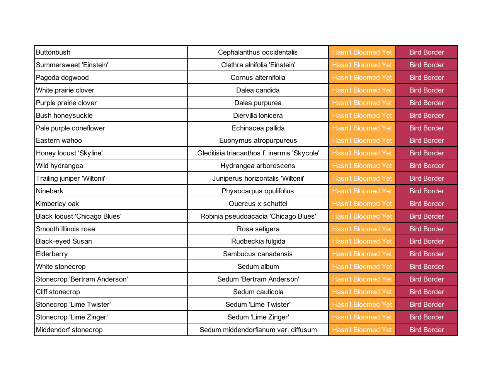| <b>Buttonbush</b>                   | Cephalanthus occidentalis                   | <b>Hasn't Bloomed Yet</b> | <b>Bird Border</b> |
|-------------------------------------|---------------------------------------------|---------------------------|--------------------|
| Summersweet 'Einstein'              | Clethra alnifolia 'Einstein'                | <b>Hasn't Bloomed Yet</b> | <b>Bird Border</b> |
| Pagoda dogwood                      | Cornus alternifolia                         | <b>Hasn't Bloomed Yet</b> | <b>Bird Border</b> |
| White prairie clover                | Dalea candida                               | <b>Hasn't Bloomed Yet</b> | <b>Bird Border</b> |
| Purple prairie clover               | Dalea purpurea                              | <b>Hasn't Bloomed Yet</b> | <b>Bird Border</b> |
| Bush honeysuckle                    | Diervilla lonicera                          | <b>Hasn't Bloomed Yet</b> | <b>Bird Border</b> |
| Pale purple coneflower              | Echinacea pallida                           | <b>Hasn't Bloomed Yet</b> | <b>Bird Border</b> |
| Eastern wahoo                       | Euonymus atropurpureus                      | <b>Hasn't Bloomed Yet</b> | <b>Bird Border</b> |
| Honey locust 'Skyline'              | Gleditisia triacanthos f. inermis 'Skycole' | <b>Hasn't Bloomed Yet</b> | <b>Bird Border</b> |
| Wild hydrangea                      | Hydrangea arborescens                       | <b>Hasn't Bloomed Yet</b> | <b>Bird Border</b> |
| Trailing juniper 'Wiltonii'         | Juniperus horizontalis 'Wiltonii'           | <b>Hasn't Bloomed Yet</b> | <b>Bird Border</b> |
| Ninebark                            | Physocarpus opulifolius                     | <b>Hasn't Bloomed Yet</b> | <b>Bird Border</b> |
| Kimberley oak                       | Quercus x schuttei                          | <b>Hasn't Bloomed Yet</b> | <b>Bird Border</b> |
| <b>Black locust 'Chicago Blues'</b> | Robinia pseudoacacia 'Chicago Blues'        | <b>Hasn't Bloomed Yet</b> | <b>Bird Border</b> |
| Smooth Illinois rose                | Rosa setigera                               | <b>Hasn't Bloomed Yet</b> | <b>Bird Border</b> |
| <b>Black-eyed Susan</b>             | Rudbeckia fulgida                           | <b>Hasn't Bloomed Yet</b> | <b>Bird Border</b> |
| Elderberry                          | Sambucus canadensis                         | <b>Hasn't Bloomed Yet</b> | <b>Bird Border</b> |
| White stonecrop                     | Sedum album                                 | <b>Hasn't Bloomed Yet</b> | <b>Bird Border</b> |
| Stonecrop 'Bertram Anderson'        | Sedum 'Bertram Anderson'                    | <b>Hasn't Bloomed Yet</b> | <b>Bird Border</b> |
| Cliff stonecrop                     | Sedum cauticola                             | <b>Hasn't Bloomed Yet</b> | <b>Bird Border</b> |
| Stonecrop 'Lime Twister'            | Sedum 'Lime Twister'                        | <b>Hasn't Bloomed Yet</b> | <b>Bird Border</b> |
| Stonecrop 'Lime Zinger'             | Sedum 'Lime Zinger'                         | <b>Hasn't Bloomed Yet</b> | <b>Bird Border</b> |
| Middendorf stonecrop                | Sedum middendorfianum var. diffusum         | <b>Hasn't Bloomed Yet</b> | <b>Bird Border</b> |